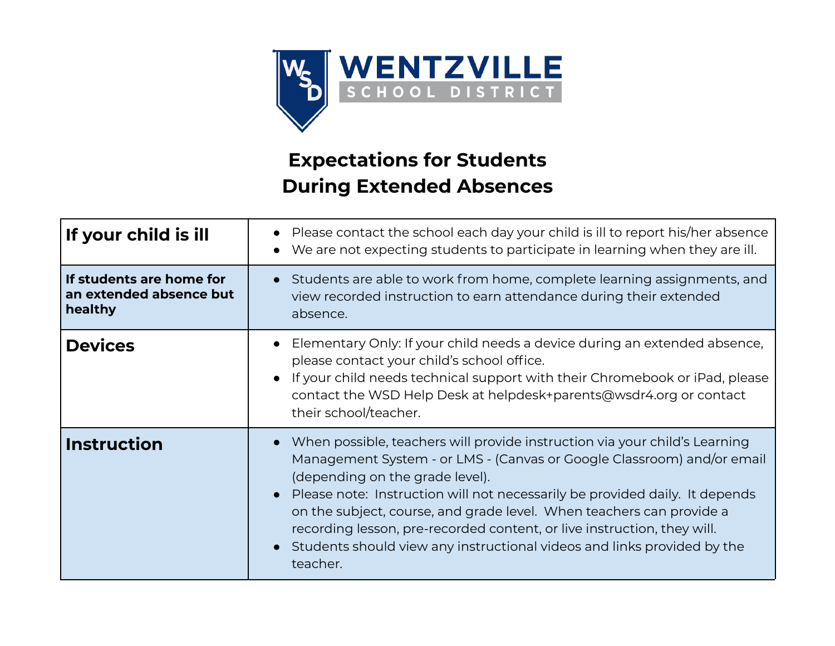

## **Expectations for Students During Extended Absences**

| If your child is ill                                           | Please contact the school each day your child is ill to report his/her absence<br>We are not expecting students to participate in learning when they are ill.                                                                                                                                                                                                                                                                                                                                                    |
|----------------------------------------------------------------|------------------------------------------------------------------------------------------------------------------------------------------------------------------------------------------------------------------------------------------------------------------------------------------------------------------------------------------------------------------------------------------------------------------------------------------------------------------------------------------------------------------|
| If students are home for<br>an extended absence but<br>healthy | Students are able to work from home, complete learning assignments, and<br>view recorded instruction to earn attendance during their extended<br>absence.                                                                                                                                                                                                                                                                                                                                                        |
| <b>Devices</b>                                                 | Elementary Only: If your child needs a device during an extended absence,<br>please contact your child's school office.<br>If your child needs technical support with their Chromebook or iPad, please<br>contact the WSD Help Desk at helpdesk+parents@wsdr4.org or contact<br>their school/teacher.                                                                                                                                                                                                            |
| <b>Instruction</b>                                             | When possible, teachers will provide instruction via your child's Learning<br>Management System - or LMS - (Canvas or Google Classroom) and/or email<br>(depending on the grade level).<br>Please note: Instruction will not necessarily be provided daily. It depends<br>on the subject, course, and grade level. When teachers can provide a<br>recording lesson, pre-recorded content, or live instruction, they will.<br>Students should view any instructional videos and links provided by the<br>teacher. |